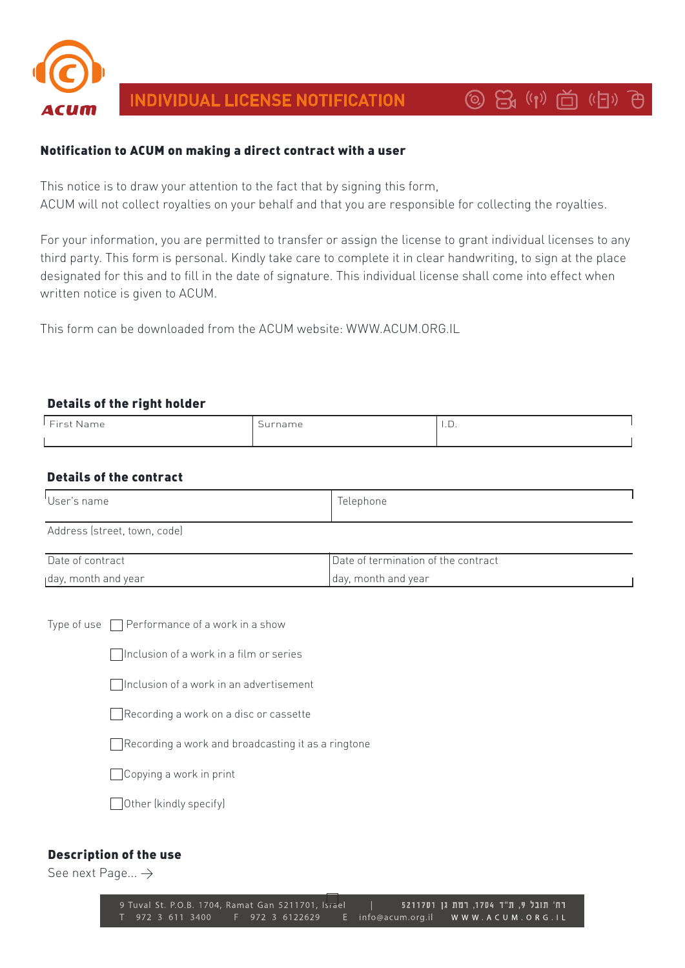

# INDIVIDUAL LICENSE NOTIFICATION

# **③ 日(1) 白(日) 日**

### Notification to ACUM on making a direct contract with a user

This notice is to draw your attention to the fact that by signing this form, ACUM will not collect royalties on your behalf and that you are responsible for collecting the royalties.

For your information, you are permitted to transfer or assign the license to grant individual licenses to any third party. This form is personal. Kindly take care to complete it in clear handwriting, to sign at the place designated for this and to fill in the date of signature. This individual license shall come into effect when written notice is given to ACUM.

This form can be downloaded from the ACUM website: WWW.ACUM.ORG.IL

#### Details of the right holder

| $"$ Einst :<br>Name. | $\overline{\phantom{0}}$<br>rname | $\overline{\phantom{a}}$ |
|----------------------|-----------------------------------|--------------------------|
|                      |                                   |                          |

### Details of the contract

| 'User's name                 | Telephone                           |  |
|------------------------------|-------------------------------------|--|
| Address (street, town, code) |                                     |  |
| Date of contract             | Date of termination of the contract |  |
| Iday, month and year         | day, month and year                 |  |

Type of use  $\Box$  Performance of a work in a show

 $\Box$ Inclusion of a work in a film or series

 $\Box$ Inclusion of a work in an advertisement

 $\Box$  Recording a work on a disc or cassette

 $\Box$  Recording a work and broadcasting it as a ringtone

 $\Box$  Copying a work in print

 $\Box$  Other (kindly specify)

#### Description of the use

See next Page...  $\rightarrow$